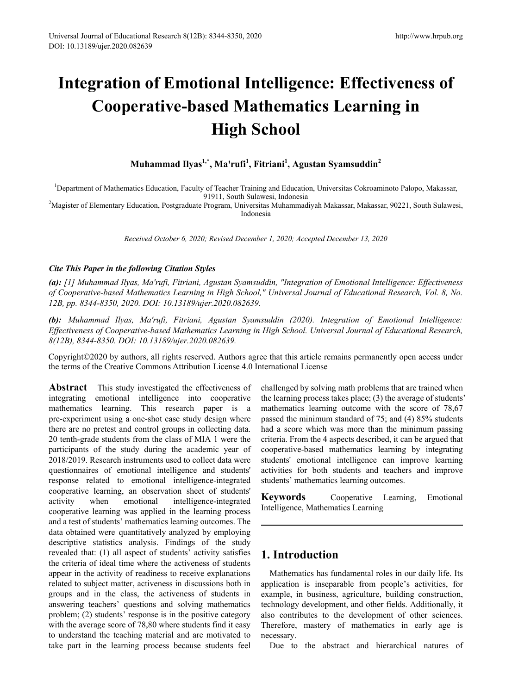# **Integration of Emotional Intelligence: Effectiveness of Cooperative-based Mathematics Learning in High School**

**Muhammad Ilyas1,\*, Ma'rufi1 , Fitriani1 , Agustan Syamsuddin<sup>2</sup>**

<sup>1</sup>Department of Mathematics Education, Faculty of Teacher Training and Education, Universitas Cokroaminoto Palopo, Makassar,

91911, South Sulawesi, Indonesia 2 Magister of Elementary Education, Postgraduate Program, Universitas Muhammadiyah Makassar, Makassar, 90221, South Sulawesi, Indonesia

*Received October 6, 2020; Revised December 1, 2020; Accepted December 13, 2020*

#### *Cite This Paper in the following Citation Styles*

*(a): [1] Muhammad Ilyas, Ma'rufi, Fitriani, Agustan Syamsuddin, "Integration of Emotional Intelligence: Effectiveness of Cooperative-based Mathematics Learning in High School," Universal Journal of Educational Research, Vol. 8, No. 12B, pp. 8344-8350, 2020. DOI: 10.13189/ujer.2020.082639.* 

*(b): Muhammad Ilyas, Ma'rufi, Fitriani, Agustan Syamsuddin (2020). Integration of Emotional Intelligence: Effectiveness of Cooperative-based Mathematics Learning in High School. Universal Journal of Educational Research, 8(12B), 8344-8350. DOI: 10.13189/ujer.2020.082639.* 

Copyright©2020 by authors, all rights reserved. Authors agree that this article remains permanently open access under the terms of the Creative Commons Attribution License 4.0 International License

**Abstract** This study investigated the effectiveness of integrating emotional intelligence into cooperative mathematics learning. This research paper is a pre-experiment using a one-shot case study design where there are no pretest and control groups in collecting data. 20 tenth-grade students from the class of MIA 1 were the participants of the study during the academic year of 2018/2019. Research instruments used to collect data were questionnaires of emotional intelligence and students' response related to emotional intelligence-integrated cooperative learning, an observation sheet of students' activity when emotional intelligence-integrated cooperative learning was applied in the learning process and a test of students' mathematics learning outcomes. The data obtained were quantitatively analyzed by employing descriptive statistics analysis. Findings of the study revealed that: (1) all aspect of students' activity satisfies the criteria of ideal time where the activeness of students appear in the activity of readiness to receive explanations related to subject matter, activeness in discussions both in groups and in the class, the activeness of students in answering teachers' questions and solving mathematics problem; (2) students' response is in the positive category with the average score of 78,80 where students find it easy to understand the teaching material and are motivated to take part in the learning process because students feel

challenged by solving math problems that are trained when the learning process takes place; (3) the average of students' mathematics learning outcome with the score of 78,67 passed the minimum standard of 75; and (4) 85% students had a score which was more than the minimum passing criteria. From the 4 aspects described, it can be argued that cooperative-based mathematics learning by integrating students' emotional intelligence can improve learning activities for both students and teachers and improve students' mathematics learning outcomes.

**Keywords** Cooperative Learning, Emotional Intelligence, Mathematics Learning

# **1. Introduction**

Mathematics has fundamental roles in our daily life. Its application is inseparable from people's activities, for example, in business, agriculture, building construction, technology development, and other fields. Additionally, it also contributes to the development of other sciences. Therefore, mastery of mathematics in early age is necessary.

Due to the abstract and hierarchical natures of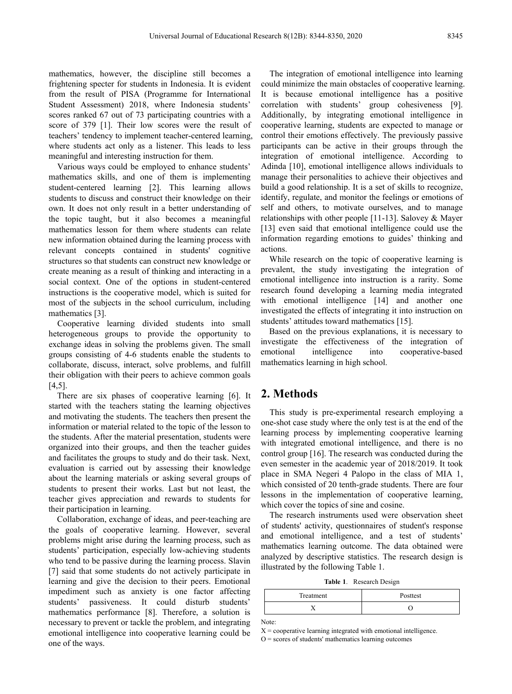mathematics, however, the discipline still becomes a frightening specter for students in Indonesia. It is evident from the result of PISA (Programme for International Student Assessment) 2018, where Indonesia students' scores ranked 67 out of 73 participating countries with a score of 379 [1]. Their low scores were the result of teachers' tendency to implement teacher-centered learning, where students act only as a listener. This leads to less meaningful and interesting instruction for them.

Various ways could be employed to enhance students' mathematics skills, and one of them is implementing student-centered learning [2]. This learning allows students to discuss and construct their knowledge on their own. It does not only result in a better understanding of the topic taught, but it also becomes a meaningful mathematics lesson for them where students can relate new information obtained during the learning process with relevant concepts contained in students' cognitive structures so that students can construct new knowledge or create meaning as a result of thinking and interacting in a social context. One of the options in student-centered instructions is the cooperative model, which is suited for most of the subjects in the school curriculum, including mathematics [3].

Cooperative learning divided students into small heterogeneous groups to provide the opportunity to exchange ideas in solving the problems given. The small groups consisting of 4-6 students enable the students to collaborate, discuss, interact, solve problems, and fulfill their obligation with their peers to achieve common goals [4,5].

There are six phases of cooperative learning [6]. It started with the teachers stating the learning objectives and motivating the students. The teachers then present the information or material related to the topic of the lesson to the students. After the material presentation, students were organized into their groups, and then the teacher guides and facilitates the groups to study and do their task. Next, evaluation is carried out by assessing their knowledge about the learning materials or asking several groups of students to present their works. Last but not least, the teacher gives appreciation and rewards to students for their participation in learning.

Collaboration, exchange of ideas, and peer-teaching are the goals of cooperative learning. However, several problems might arise during the learning process, such as students' participation, especially low-achieving students who tend to be passive during the learning process. Slavin [7] said that some students do not actively participate in learning and give the decision to their peers. Emotional impediment such as anxiety is one factor affecting students' passiveness. It could disturb students' mathematics performance [8]. Therefore, a solution is necessary to prevent or tackle the problem, and integrating emotional intelligence into cooperative learning could be one of the ways.

The integration of emotional intelligence into learning could minimize the main obstacles of cooperative learning. It is because emotional intelligence has a positive correlation with students' group cohesiveness [9]. Additionally, by integrating emotional intelligence in cooperative learning, students are expected to manage or control their emotions effectively. The previously passive participants can be active in their groups through the integration of emotional intelligence. According to Adinda [10], emotional intelligence allows individuals to manage their personalities to achieve their objectives and build a good relationship. It is a set of skills to recognize, identify, regulate, and monitor the feelings or emotions of self and others, to motivate ourselves, and to manage relationships with other people [11-13]. Salovey & Mayer [13] even said that emotional intelligence could use the information regarding emotions to guides' thinking and actions.

While research on the topic of cooperative learning is prevalent, the study investigating the integration of emotional intelligence into instruction is a rarity. Some research found developing a learning media integrated with emotional intelligence [14] and another one investigated the effects of integrating it into instruction on students' attitudes toward mathematics [15].

Based on the previous explanations, it is necessary to investigate the effectiveness of the integration of emotional intelligence into cooperative-based mathematics learning in high school.

## **2. Methods**

This study is pre-experimental research employing a one-shot case study where the only test is at the end of the learning process by implementing cooperative learning with integrated emotional intelligence, and there is no control group [16]. The research was conducted during the even semester in the academic year of 2018/2019. It took place in SMA Negeri 4 Palopo in the class of MIA 1, which consisted of 20 tenth-grade students. There are four lessons in the implementation of cooperative learning, which cover the topics of sine and cosine.

The research instruments used were observation sheet of students' activity, questionnaires of student's response and emotional intelligence, and a test of students' mathematics learning outcome. The data obtained were analyzed by descriptive statistics. The research design is illustrated by the following Table 1.

**Table 1**. Research Design

| Treatment | Posttest |
|-----------|----------|
|           |          |

Note:

 $X =$  cooperative learning integrated with emotional intelligence.  $O =$  scores of students' mathematics learning outcomes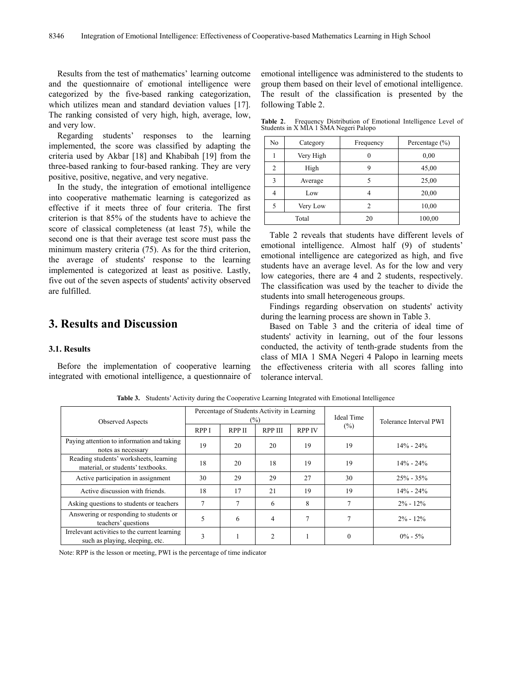Results from the test of mathematics' learning outcome and the questionnaire of emotional intelligence were categorized by the five-based ranking categorization, which utilizes mean and standard deviation values [17]. The ranking consisted of very high, high, average, low, and very low.

Regarding students' responses to the learning implemented, the score was classified by adapting the criteria used by Akbar [18] and Khabibah [19] from the three-based ranking to four-based ranking. They are very positive, positive, negative, and very negative.

In the study, the integration of emotional intelligence into cooperative mathematic learning is categorized as effective if it meets three of four criteria. The first criterion is that 85% of the students have to achieve the score of classical completeness (at least 75), while the second one is that their average test score must pass the minimum mastery criteria (75). As for the third criterion, the average of students' response to the learning implemented is categorized at least as positive. Lastly, five out of the seven aspects of students' activity observed are fulfilled.

# **3. Results and Discussion**

#### **3.1. Results**

Before the implementation of cooperative learning integrated with emotional intelligence, a questionnaire of emotional intelligence was administered to the students to group them based on their level of emotional intelligence. The result of the classification is presented by the following Table 2.

**Table 2**. Frequency Distribution of Emotional Intelligence Level of Students in X MIA 1 SMA Negeri Palopo

| N <sub>o</sub> | Category  | Frequency | Percentage (%) |
|----------------|-----------|-----------|----------------|
|                | Very High |           | 0,00           |
| $\mathfrak{D}$ | High      |           | 45,00          |
| 3              | Average   |           | 25,00          |
| 4              | Low       |           | 20,00          |
|                | Very Low  | 2         | 10,00          |
|                | Total     | 20        | 100,00         |

Table 2 reveals that students have different levels of emotional intelligence. Almost half (9) of students' emotional intelligence are categorized as high, and five students have an average level. As for the low and very low categories, there are 4 and 2 students, respectively. The classification was used by the teacher to divide the students into small heterogeneous groups.

Findings regarding observation on students' activity during the learning process are shown in Table 3.

Based on Table 3 and the criteria of ideal time of students' activity in learning, out of the four lessons conducted, the activity of tenth-grade students from the class of MIA 1 SMA Negeri 4 Palopo in learning meets the effectiveness criteria with all scores falling into tolerance interval.

| <b>Observed Aspects</b>                                                          | Percentage of Students Activity in Learning<br>(%) |               |                | <b>Ideal Time</b> | Tolerance Interval PWI |               |
|----------------------------------------------------------------------------------|----------------------------------------------------|---------------|----------------|-------------------|------------------------|---------------|
|                                                                                  | <b>RPPI</b>                                        | <b>RPP II</b> | <b>RPP III</b> | <b>RPP IV</b>     | $(\%)$                 |               |
| Paying attention to information and taking<br>notes as necessary                 | 19                                                 | 20            | 20             | 19                | 19                     | $14\% - 24\%$ |
| Reading students' worksheets, learning<br>material, or students' textbooks.      | 18                                                 | 20            | 18             | 19                | 19                     | $14\% - 24\%$ |
| Active participation in assignment                                               | 30                                                 | 29            | 29             | 27                | 30                     | $25% - 35%$   |
| Active discussion with friends.                                                  | 18                                                 | 17            | 21             | 19                | 19                     | $14\% - 24\%$ |
| Asking questions to students or teachers                                         | 7                                                  |               | 6              | 8                 |                        | $2\% - 12\%$  |
| Answering or responding to students or<br>teachers' questions                    | 5                                                  | 6             | 4              | $\mathcal{I}$     |                        | $2\% - 12\%$  |
| Irrelevant activities to the current learning<br>such as playing, sleeping, etc. | 3                                                  |               | $\overline{c}$ |                   | 0                      | $0\% - 5\%$   |

**Table 3.** Students' Activity during the Cooperative Learning Integrated with Emotional Intelligence

Note: RPP is the lesson or meeting, PWI is the percentage of time indicator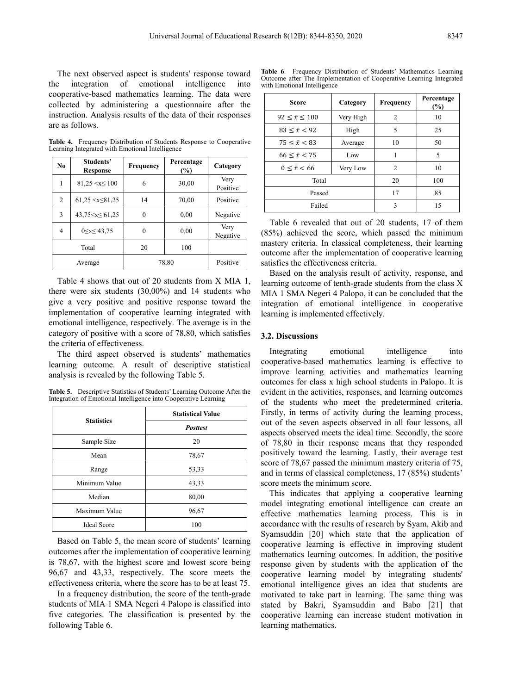The next observed aspect is students' response toward the integration of emotional intelligence into cooperative-based mathematics learning. The data were collected by administering a questionnaire after the instruction. Analysis results of the data of their responses are as follows.

**Table 4.** Frequency Distribution of Students Response to Cooperative Learning Integrated with Emotional Intelligence

| No             | Students'<br>Response   | Frequency | Percentage<br>(%) | Category         |
|----------------|-------------------------|-----------|-------------------|------------------|
| 1              | $81.25 \le x \le 100$   | 6         | 30,00             | Very<br>Positive |
| $\overline{c}$ | $61,25 \le x \le 81,25$ | 14        | 70,00             | Positive         |
| 3              | $43.75 \le x \le 61.25$ | 0         | 0.00              | Negative         |
| 4              | $0 \le x \le 43,75$     | 0         | 0.00              | Very<br>Negative |
|                | Total                   | 20        | 100               |                  |
|                | Average                 | 78,80     |                   | Positive         |

Table 4 shows that out of 20 students from X MIA 1, there were six students (30,00%) and 14 students who give a very positive and positive response toward the implementation of cooperative learning integrated with emotional intelligence, respectively. The average is in the category of positive with a score of 78,80, which satisfies the criteria of effectiveness.

The third aspect observed is students' mathematics learning outcome. A result of descriptive statistical analysis is revealed by the following Table 5.

**Table 5.** Descriptive Statistics of Students' Learning Outcome After the Integration of Emotional Intelligence into Cooperative Learning

| <b>Statistics</b>  | <b>Statistical Value</b> |  |
|--------------------|--------------------------|--|
|                    | <b>Posttest</b>          |  |
| Sample Size        | 20                       |  |
| Mean               | 78,67                    |  |
| Range              | 53,33                    |  |
| Minimum Value      | 43,33                    |  |
| Median             | 80,00                    |  |
| Maximum Value      | 96,67                    |  |
| <b>Ideal Score</b> | 100                      |  |

Based on Table 5, the mean score of students' learning outcomes after the implementation of cooperative learning is 78,67, with the highest score and lowest score being 96,67 and 43,33, respectively. The score meets the effectiveness criteria, where the score has to be at least 75.

In a frequency distribution, the score of the tenth-grade students of MIA 1 SMA Negeri 4 Palopo is classified into five categories. The classification is presented by the following Table 6.

**Table 6**. Frequency Distribution of Students' Mathematics Learning Outcome after The Implementation of Cooperative Learning Integrated with Emotional Intelligence

| <b>Score</b>               | Category  | Frequency      | Percentage<br>$(\%)$ |
|----------------------------|-----------|----------------|----------------------|
| $92 \leq \bar{x} \leq 100$ | Very High | $\overline{c}$ | 10                   |
| $83 < \bar{x} < 92$        | High      | 5              | 25                   |
| $75 \leq \bar{x} < 83$     | Average   | 10             | 50                   |
| $66 \leq \bar{x} \leq 75$  | Low       | 1              | 5                    |
| $0 \leq \bar{x} \leq 66$   | Very Low  | $\overline{c}$ | 10                   |
| Total                      |           | 20             | 100                  |
| Passed                     |           | 17             | 85                   |
| Failed                     |           | 3              | 15                   |

Table 6 revealed that out of 20 students, 17 of them (85%) achieved the score, which passed the minimum mastery criteria. In classical completeness, their learning outcome after the implementation of cooperative learning satisfies the effectiveness criteria.

Based on the analysis result of activity, response, and learning outcome of tenth-grade students from the class X MIA 1 SMA Negeri 4 Palopo, it can be concluded that the integration of emotional intelligence in cooperative learning is implemented effectively.

#### **3.2. Discussions**

Integrating emotional intelligence into cooperative-based mathematics learning is effective to improve learning activities and mathematics learning outcomes for class x high school students in Palopo. It is evident in the activities, responses, and learning outcomes of the students who meet the predetermined criteria. Firstly, in terms of activity during the learning process, out of the seven aspects observed in all four lessons, all aspects observed meets the ideal time. Secondly, the score of 78,80 in their response means that they responded positively toward the learning. Lastly, their average test score of 78,67 passed the minimum mastery criteria of 75, and in terms of classical completeness, 17 (85%) students' score meets the minimum score.

This indicates that applying a cooperative learning model integrating emotional intelligence can create an effective mathematics learning process. This is in accordance with the results of research by Syam, Akib and Syamsuddin [20] which state that the application of cooperative learning is effective in improving student mathematics learning outcomes. In addition, the positive response given by students with the application of the cooperative learning model by integrating students' emotional intelligence gives an idea that students are motivated to take part in learning. The same thing was stated by Bakri, Syamsuddin and Babo [21] that cooperative learning can increase student motivation in learning mathematics.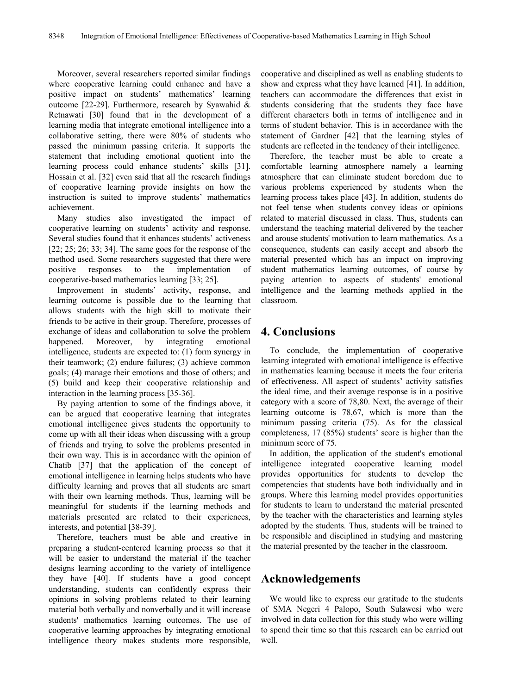Moreover, several researchers reported similar findings where cooperative learning could enhance and have a positive impact on students' mathematics' learning outcome [22-29]. Furthermore, research by Syawahid & Retnawati [30] found that in the development of a learning media that integrate emotional intelligence into a collaborative setting, there were 80% of students who passed the minimum passing criteria. It supports the statement that including emotional quotient into the learning process could enhance students' skills [31]. Hossain et al. [32] even said that all the research findings of cooperative learning provide insights on how the instruction is suited to improve students' mathematics achievement.

Many studies also investigated the impact of cooperative learning on students' activity and response. Several studies found that it enhances students' activeness [22; 25; 26; 33; 34]. The same goes for the response of the method used. Some researchers suggested that there were positive responses to the implementation of cooperative-based mathematics learning [33; 25].

Improvement in students' activity, response, and learning outcome is possible due to the learning that allows students with the high skill to motivate their friends to be active in their group. Therefore, processes of exchange of ideas and collaboration to solve the problem happened. Moreover, by integrating emotional intelligence, students are expected to: (1) form synergy in their teamwork; (2) endure failures; (3) achieve common goals; (4) manage their emotions and those of others; and (5) build and keep their cooperative relationship and interaction in the learning process [35-36].

By paying attention to some of the findings above, it can be argued that cooperative learning that integrates emotional intelligence gives students the opportunity to come up with all their ideas when discussing with a group of friends and trying to solve the problems presented in their own way. This is in accordance with the opinion of Chatib [37] that the application of the concept of emotional intelligence in learning helps students who have difficulty learning and proves that all students are smart with their own learning methods. Thus, learning will be meaningful for students if the learning methods and materials presented are related to their experiences, interests, and potential [38-39].

Therefore, teachers must be able and creative in preparing a student-centered learning process so that it will be easier to understand the material if the teacher designs learning according to the variety of intelligence they have [40]. If students have a good concept understanding, students can confidently express their opinions in solving problems related to their learning material both verbally and nonverbally and it will increase students' mathematics learning outcomes. The use of cooperative learning approaches by integrating emotional intelligence theory makes students more responsible,

cooperative and disciplined as well as enabling students to show and express what they have learned [41]. In addition, teachers can accommodate the differences that exist in students considering that the students they face have different characters both in terms of intelligence and in terms of student behavior. This is in accordance with the statement of Gardner [42] that the learning styles of students are reflected in the tendency of their intelligence.

Therefore, the teacher must be able to create a comfortable learning atmosphere namely a learning atmosphere that can eliminate student boredom due to various problems experienced by students when the learning process takes place [43]. In addition, students do not feel tense when students convey ideas or opinions related to material discussed in class. Thus, students can understand the teaching material delivered by the teacher and arouse students' motivation to learn mathematics. As a consequence, students can easily accept and absorb the material presented which has an impact on improving student mathematics learning outcomes, of course by paying attention to aspects of students' emotional intelligence and the learning methods applied in the classroom.

## **4. Conclusions**

To conclude, the implementation of cooperative learning integrated with emotional intelligence is effective in mathematics learning because it meets the four criteria of effectiveness. All aspect of students' activity satisfies the ideal time, and their average response is in a positive category with a score of 78,80. Next, the average of their learning outcome is 78,67, which is more than the minimum passing criteria (75). As for the classical completeness, 17 (85%) students' score is higher than the minimum score of 75.

In addition, the application of the student's emotional intelligence integrated cooperative learning model provides opportunities for students to develop the competencies that students have both individually and in groups. Where this learning model provides opportunities for students to learn to understand the material presented by the teacher with the characteristics and learning styles adopted by the students. Thus, students will be trained to be responsible and disciplined in studying and mastering the material presented by the teacher in the classroom.

## **Acknowledgements**

We would like to express our gratitude to the students of SMA Negeri 4 Palopo, South Sulawesi who were involved in data collection for this study who were willing to spend their time so that this research can be carried out well.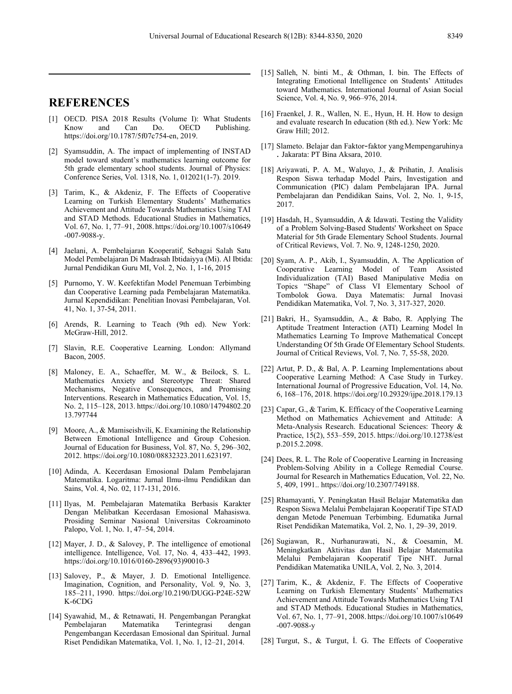## **REFERENCES**

- [1] OECD. PISA 2018 Results (Volume I): What Students Know and Can Do. OECD Publishing. https://doi.org/10.1787/5f07c754-en, 2019.
- [2] Syamsuddin, A. The impact of implementing of INSTAD model toward student's mathematics learning outcome for 5th grade elementary school students. Journal of Physics: Conference Series, Vol. 1318, No. 1, 012021(1-7). 2019.
- [3] Tarim, K., & Akdeniz, F. The Effects of Cooperative Learning on Turkish Elementary Students' Mathematics Achievement and Attitude Towards Mathematics Using TAI and STAD Methods. Educational Studies in Mathematics, Vol. 67, No. 1, 77–91, 2008. https://doi.org/10.1007/s10649 -007-9088-y.
- [4] Jaelani, A. Pembelajaran Kooperatif, Sebagai Salah Satu Model Pembelajaran Di Madrasah Ibtidaiyya (Mi). Al Ibtida: Jurnal Pendidikan Guru MI, Vol. 2, No. 1, 1-16, 2015
- [5] Purnomo, Y. W. Keefektifan Model Penemuan Terbimbing dan Cooperative Learning pada Pembelajaran Matematika. Jurnal Kependidikan: Penelitian Inovasi Pembelajaran, Vol. 41, No. 1, 37-54, 2011.
- [6] Arends, R. Learning to Teach (9th ed). New York: McGraw-Hill, 2012.
- [7] Slavin, R.E. Cooperative Learning*.* London: Allymand Bacon, 2005.
- [8] Maloney, E. A., Schaeffer, M. W., & Beilock, S. L. Mathematics Anxiety and Stereotype Threat: Shared Mechanisms, Negative Consequences, and Promising Interventions. Research in Mathematics Education, Vol. 15, No. 2, 115–128, 2013. https://doi.org/10.1080/14794802.20 13.797744
- [9] Moore, A., & Mamiseishvili, K. Examining the Relationship Between Emotional Intelligence and Group Cohesion. Journal of Education for Business, Vol. 87, No. 5, 296–302, 2012. https://doi.org/10.1080/08832323.2011.623197.
- [10] Adinda, A. Kecerdasan Emosional Dalam Pembelajaran Matematika. Logaritma: Jurnal Ilmu-ilmu Pendidikan dan Sains, Vol. 4, No. 02, 117-131, 2016.
- [11] Ilyas, M. Pembelajaran Matematika Berbasis Karakter Dengan Melibatkan Kecerdasan Emosional Mahasiswa. Prosiding Seminar Nasional Universitas Cokroaminoto Palopo, Vol. 1, No. 1, 47–54, 2014.
- [12] Mayer, J. D., & Salovey, P. The intelligence of emotional intelligence. Intelligence, Vol. 17, No. 4, 433–442, 1993. https://doi.org/10.1016/0160-2896(93)90010-3
- [13] Salovey, P., & Mayer, J. D. Emotional Intelligence. Imagination, Cognition, and Personality, Vol. 9, No. 3, 185–211, 1990. https://doi.org/10.2190/DUGG-P24E-52W K-6CDG
- [14] Syawahid, M., & Retnawati, H. Pengembangan Perangkat Pembelajaran Pengembangan Kecerdasan Emosional dan Spiritual. Jurnal Riset Pendidikan Matematika, Vol. 1, No. 1, 12–21, 2014.
- [15] Salleh, N. binti M., & Othman, I. bin. The Effects of Integrating Emotional Intelligence on Students' Attitudes toward Mathematics. International Journal of Asian Social Science, Vol. 4, No. 9, 966–976, 2014.
- [16] Fraenkel, J. R., Wallen, N. E., Hyun, H. H. How to design and evaluate research In education (8th ed.). New York: Mc Graw Hill; 2012.
- [17] Slameto. Belajar dan Faktor*-*faktor yangMempengaruhinya . Jakarata: PT Bina Aksara, 2010.
- [18] Ariyawati, P. A. M., Waluyo, J., & Prihatin, J. Analisis Respon Siswa terhadap Model Pairs, Investigation and Communication (PIC) dalam Pembelajaran IPA. Jurnal Pembelajaran dan Pendidikan Sains, Vol. 2, No. 1, 9-15, 2017.
- [19] Hasdah, H., Syamsuddin, A & Idawati. Testing the Validity of a Problem Solving-Based Students' Worksheet on Space Material for 5th Grade Elementary School Students. Journal of Critical Reviews, Vol. 7. No. 9, 1248-1250, 2020.
- [20] Syam, A. P., Akib, I., Syamsuddin, A. The Application of Cooperative Learning Model of Team Assisted Individualization (TAI) Based Manipulative Media on Topics "Shape" of Class VI Elementary School of Tombolok Gowa. Daya Matematis: Jurnal Inovasi Pendidikan Matematika, Vol. 7, No. 3, 317-327, 2020.
- [21] Bakri, H., Syamsuddin, A., & Babo, R. Applying The Aptitude Treatment Interaction (ATI) Learning Model In Mathematics Learning To Improve Mathematical Concept Understanding Of 5th Grade Of Elementary School Students. Journal of Critical Reviews, Vol. 7, No. 7, 55-58, 2020.
- [22] Artut, P. D., & Bal, A. P. Learning Implementations about Cooperative Learning Method: A Case Study in Turkey. International Journal of Progressive Education, Vol. 14, No. 6, 168–176, 2018. https://doi.org/10.29329/ijpe.2018.179.13
- [23] Capar, G., & Tarim, K. Efficacy of the Cooperative Learning Method on Mathematics Achievement and Attitude: A Meta-Analysis Research. Educational Sciences: Theory & Practice, 15(2), 553–559, 2015. https://doi.org/10.12738/est p.2015.2.2098.
- [24] Dees, R. L. The Role of Cooperative Learning in Increasing Problem-Solving Ability in a College Remedial Course. Journal for Research in Mathematics Education, Vol. 22, No. 5, 409, 1991.. https://doi.org/10.2307/749188.
- [25] Rhamayanti, Y. Peningkatan Hasil Belajar Matematika dan Respon Siswa Melalui Pembelajaran Kooperatif Tipe STAD dengan Metode Penemuan Terbimbing. Edumatika Jurnal Riset Pendidikan Matematika, Vol. 2, No. 1, 29–39, 2019.
- [26] Sugiawan, R., Nurhanurawati, N., & Coesamin, M. Meningkatkan Aktivitas dan Hasil Belajar Matematika Melalui Pembelajaran Kooperatif Tipe NHT. Jurnal Pendidikan Matematika UNILA, Vol. 2, No. 3, 2014.
- [27] Tarim, K., & Akdeniz, F. The Effects of Cooperative Learning on Turkish Elementary Students' Mathematics Achievement and Attitude Towards Mathematics Using TAI and STAD Methods. Educational Studies in Mathematics, Vol. 67, No. 1, 77–91, 2008. https://doi.org/10.1007/s10649 -007-9088-y
- [28] Turgut, S., & Turgut, İ. G. The Effects of Cooperative